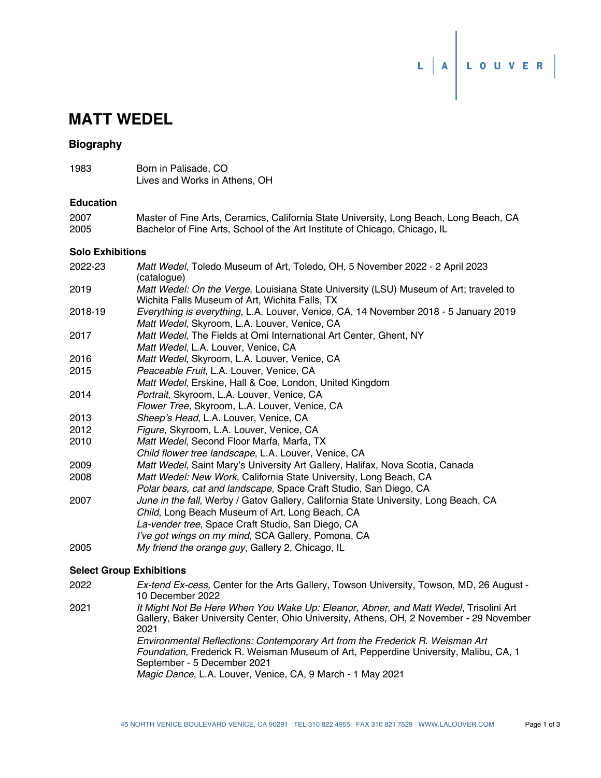

# **MATT WEDEL**

## **Biography**

1983 Born in Palisade, CO Lives and Works in Athens, OH

#### **Education**

| 2007 | Master of Fine Arts, Ceramics, California State University, Long Beach, Long Beach, CA |
|------|----------------------------------------------------------------------------------------|
| 2005 | Bachelor of Fine Arts, School of the Art Institute of Chicago, Chicago, IL             |

#### **Solo Exhibitions**

| 2022-23 | Matt Wedel, Toledo Museum of Art, Toledo, OH, 5 November 2022 - 2 April 2023<br>(catalogue)                                             |
|---------|-----------------------------------------------------------------------------------------------------------------------------------------|
| 2019    | Matt Wedel: On the Verge, Louisiana State University (LSU) Museum of Art; traveled to<br>Wichita Falls Museum of Art, Wichita Falls, TX |
| 2018-19 | Everything is everything, L.A. Louver, Venice, CA, 14 November 2018 - 5 January 2019<br>Matt Wedel, Skyroom, L.A. Louver, Venice, CA    |
| 2017    | Matt Wedel, The Fields at Omi International Art Center, Ghent, NY<br>Matt Wedel, L.A. Louver, Venice, CA                                |
| 2016    | Matt Wedel, Skyroom, L.A. Louver, Venice, CA                                                                                            |
| 2015    | Peaceable Fruit, L.A. Louver, Venice, CA                                                                                                |
|         | Matt Wedel, Erskine, Hall & Coe, London, United Kingdom                                                                                 |
| 2014    | Portrait, Skyroom, L.A. Louver, Venice, CA                                                                                              |
|         | Flower Tree, Skyroom, L.A. Louver, Venice, CA                                                                                           |
| 2013    | Sheep's Head, L.A. Louver, Venice, CA                                                                                                   |
| 2012    | Figure, Skyroom, L.A. Louver, Venice, CA                                                                                                |
| 2010    | Matt Wedel, Second Floor Marfa, Marfa, TX                                                                                               |
|         | Child flower tree landscape, L.A. Louver, Venice, CA                                                                                    |
| 2009    | Matt Wedel, Saint Mary's University Art Gallery, Halifax, Nova Scotia, Canada                                                           |
| 2008    | Matt Wedel: New Work, California State University, Long Beach, CA                                                                       |
|         | Polar bears, cat and landscape, Space Craft Studio, San Diego, CA                                                                       |
| 2007    | June in the fall, Werby / Gatov Gallery, California State University, Long Beach, CA                                                    |
|         | Child, Long Beach Museum of Art, Long Beach, CA                                                                                         |
|         | La-vender tree, Space Craft Studio, San Diego, CA                                                                                       |
|         | I've got wings on my mind, SCA Gallery, Pomona, CA                                                                                      |
| 2005    | My friend the orange guy, Gallery 2, Chicago, IL                                                                                        |

### **Select Group Exhibitions**

*Ex-tend Ex-cess*, Center for the Arts Gallery, Towson University, Towson, MD, 26 August - 10 December 2022 2022 *It Might Not Be Here When You Wake Up: Eleanor, Abner, and Matt Wedel*, Trisolini Art Gallery, Baker University Center, Ohio University, Athens, OH, 2 November - 29 November 2021 2021 *Environmental Reflections: Contemporary Art from the Frederick R. Weisman Art Foundation*, Frederick R. Weisman Museum of Art, Pepperdine University, Malibu, CA, 1 September - 5 December 2021 *Magic Dance*, L.A. Louver, Venice, CA, 9 March - 1 May 2021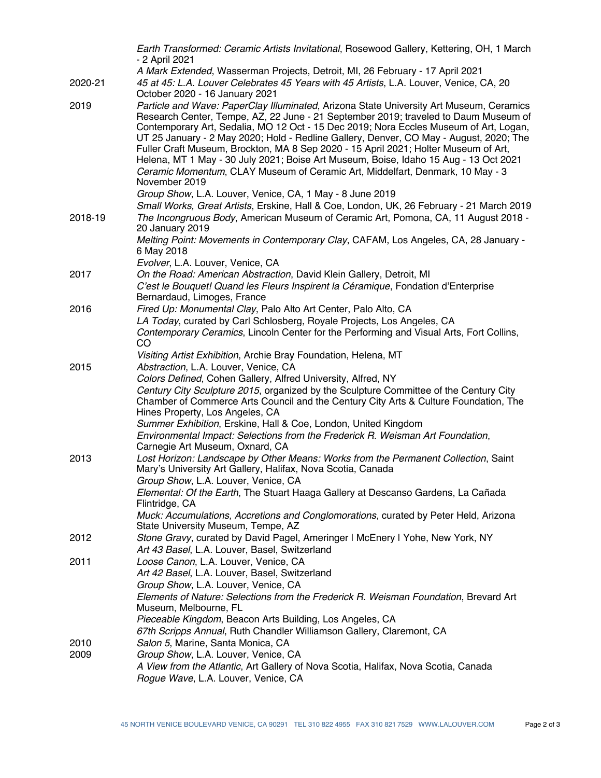|         | Earth Transformed: Ceramic Artists Invitational, Rosewood Gallery, Kettering, OH, 1 March<br>- 2 April 2021                                                                                                                                                                                                                                                                                                                                                                                                                                                                                                                                        |
|---------|----------------------------------------------------------------------------------------------------------------------------------------------------------------------------------------------------------------------------------------------------------------------------------------------------------------------------------------------------------------------------------------------------------------------------------------------------------------------------------------------------------------------------------------------------------------------------------------------------------------------------------------------------|
| 2020-21 | A Mark Extended, Wasserman Projects, Detroit, MI, 26 February - 17 April 2021<br>45 at 45: L.A. Louver Celebrates 45 Years with 45 Artists, L.A. Louver, Venice, CA, 20                                                                                                                                                                                                                                                                                                                                                                                                                                                                            |
|         | October 2020 - 16 January 2021                                                                                                                                                                                                                                                                                                                                                                                                                                                                                                                                                                                                                     |
| 2019    | Particle and Wave: PaperClay Illuminated, Arizona State University Art Museum, Ceramics<br>Research Center, Tempe, AZ, 22 June - 21 September 2019; traveled to Daum Museum of<br>Contemporary Art, Sedalia, MO 12 Oct - 15 Dec 2019; Nora Eccles Museum of Art, Logan,<br>UT 25 January - 2 May 2020; Hold - Redline Gallery, Denver, CO May - August, 2020; The<br>Fuller Craft Museum, Brockton, MA 8 Sep 2020 - 15 April 2021; Holter Museum of Art,<br>Helena, MT 1 May - 30 July 2021; Boise Art Museum, Boise, Idaho 15 Aug - 13 Oct 2021<br>Ceramic Momentum, CLAY Museum of Ceramic Art, Middelfart, Denmark, 10 May - 3<br>November 2019 |
|         | Group Show, L.A. Louver, Venice, CA, 1 May - 8 June 2019                                                                                                                                                                                                                                                                                                                                                                                                                                                                                                                                                                                           |
| 2018-19 | Small Works, Great Artists, Erskine, Hall & Coe, London, UK, 26 February - 21 March 2019<br>The Incongruous Body, American Museum of Ceramic Art, Pomona, CA, 11 August 2018 -<br>20 January 2019                                                                                                                                                                                                                                                                                                                                                                                                                                                  |
|         | Melting Point: Movements in Contemporary Clay, CAFAM, Los Angeles, CA, 28 January -<br>6 May 2018                                                                                                                                                                                                                                                                                                                                                                                                                                                                                                                                                  |
|         | Evolver, L.A. Louver, Venice, CA                                                                                                                                                                                                                                                                                                                                                                                                                                                                                                                                                                                                                   |
| 2017    | On the Road: American Abstraction, David Klein Gallery, Detroit, MI<br>C'est le Bouquet! Quand les Fleurs Inspirent la Céramique, Fondation d'Enterprise<br>Bernardaud, Limoges, France                                                                                                                                                                                                                                                                                                                                                                                                                                                            |
| 2016    | Fired Up: Monumental Clay, Palo Alto Art Center, Palo Alto, CA                                                                                                                                                                                                                                                                                                                                                                                                                                                                                                                                                                                     |
|         | LA Today, curated by Carl Schlosberg, Royale Projects, Los Angeles, CA                                                                                                                                                                                                                                                                                                                                                                                                                                                                                                                                                                             |
|         | Contemporary Ceramics, Lincoln Center for the Performing and Visual Arts, Fort Collins,<br>CO                                                                                                                                                                                                                                                                                                                                                                                                                                                                                                                                                      |
|         | Visiting Artist Exhibition, Archie Bray Foundation, Helena, MT                                                                                                                                                                                                                                                                                                                                                                                                                                                                                                                                                                                     |
| 2015    | Abstraction, L.A. Louver, Venice, CA                                                                                                                                                                                                                                                                                                                                                                                                                                                                                                                                                                                                               |
|         | Colors Defined, Cohen Gallery, Alfred University, Alfred, NY<br>Century City Sculpture 2015, organized by the Sculpture Committee of the Century City<br>Chamber of Commerce Arts Council and the Century City Arts & Culture Foundation, The<br>Hines Property, Los Angeles, CA                                                                                                                                                                                                                                                                                                                                                                   |
|         | Summer Exhibition, Erskine, Hall & Coe, London, United Kingdom<br>Environmental Impact: Selections from the Frederick R. Weisman Art Foundation,<br>Carnegie Art Museum, Oxnard, CA                                                                                                                                                                                                                                                                                                                                                                                                                                                                |
| 2013    | Lost Horizon: Landscape by Other Means: Works from the Permanent Collection, Saint<br>Mary's University Art Gallery, Halifax, Nova Scotia, Canada<br>Group Show, L.A. Louver, Venice, CA                                                                                                                                                                                                                                                                                                                                                                                                                                                           |
|         | Elemental: Of the Earth, The Stuart Haaga Gallery at Descanso Gardens, La Cañada<br>Flintridge, CA                                                                                                                                                                                                                                                                                                                                                                                                                                                                                                                                                 |
|         | Muck: Accumulations, Accretions and Conglomorations, curated by Peter Held, Arizona<br>State University Museum, Tempe, AZ                                                                                                                                                                                                                                                                                                                                                                                                                                                                                                                          |
| 2012    | Stone Gravy, curated by David Pagel, Ameringer I McEnery I Yohe, New York, NY<br>Art 43 Basel, L.A. Louver, Basel, Switzerland                                                                                                                                                                                                                                                                                                                                                                                                                                                                                                                     |
| 2011    | Loose Canon, L.A. Louver, Venice, CA<br>Art 42 Basel, L.A. Louver, Basel, Switzerland<br>Group Show, L.A. Louver, Venice, CA                                                                                                                                                                                                                                                                                                                                                                                                                                                                                                                       |
|         | Elements of Nature: Selections from the Frederick R. Weisman Foundation, Brevard Art<br>Museum, Melbourne, FL<br>Pieceable Kingdom, Beacon Arts Building, Los Angeles, CA                                                                                                                                                                                                                                                                                                                                                                                                                                                                          |
|         | 67th Scripps Annual, Ruth Chandler Williamson Gallery, Claremont, CA                                                                                                                                                                                                                                                                                                                                                                                                                                                                                                                                                                               |
| 2010    | Salon 5, Marine, Santa Monica, CA                                                                                                                                                                                                                                                                                                                                                                                                                                                                                                                                                                                                                  |
| 2009    | Group Show, L.A. Louver, Venice, CA                                                                                                                                                                                                                                                                                                                                                                                                                                                                                                                                                                                                                |
|         | A View from the Atlantic, Art Gallery of Nova Scotia, Halifax, Nova Scotia, Canada<br>Rogue Wave, L.A. Louver, Venice, CA                                                                                                                                                                                                                                                                                                                                                                                                                                                                                                                          |